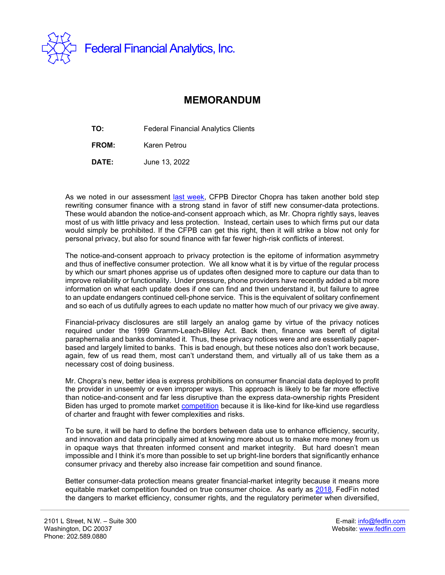

## **MEMORANDUM**

**TO:** Federal Financial Analytics Clients

**FROM:** Karen Petrou

**DATE:** June 13, 2022

As we noted in our assessment [last week,](https://fedfin.com/wp-content/uploads/2022/06/Daily060822.pdf) CFPB Director Chopra has taken another bold step rewriting consumer finance with a strong stand in favor of stiff new consumer-data protections. These would abandon the notice-and-consent approach which, as Mr. Chopra rightly says, leaves most of us with little privacy and less protection. Instead, certain uses to which firms put our data would simply be prohibited. If the CFPB can get this right, then it will strike a blow not only for personal privacy, but also for sound finance with far fewer high-risk conflicts of interest.

The notice-and-consent approach to privacy protection is the epitome of information asymmetry and thus of ineffective consumer protection. We all know what it is by virtue of the regular process by which our smart phones apprise us of updates often designed more to capture our data than to improve reliability or functionality. Under pressure, phone providers have recently added a bit more information on what each update does if one can find and then understand it, but failure to agree to an update endangers continued cell-phone service. This is the equivalent of solitary confinement and so each of us dutifully agrees to each update no matter how much of our privacy we give away.

Financial-privacy disclosures are still largely an analog game by virtue of the privacy notices required under the 1999 Gramm-Leach-Bliley Act. Back then, finance was bereft of digital paraphernalia and banks dominated it. Thus, these privacy notices were and are essentially paperbased and largely limited to banks. This is bad enough, but these notices also don't work because, again, few of us read them, most can't understand them, and virtually all of us take them as a necessary cost of doing business.

Mr. Chopra's new, better idea is express prohibitions on consumer financial data deployed to profit the provider in unseemly or even improper ways. This approach is likely to be far more effective than notice-and-consent and far less disruptive than the express data-ownership rights President Biden has urged to promote market [competition](https://fedfin.com/wp-content/uploads/2021/07/MERGER6.pdf) because it is like-kind for like-kind use regardless of charter and fraught with fewer complexities and risks.

To be sure, it will be hard to define the borders between data use to enhance efficiency, security, and innovation and data principally aimed at knowing more about us to make more money from us in opaque ways that threaten informed consent and market integrity. But hard doesn't mean impossible and I think it's more than possible to set up bright-line borders that significantly enhance consumer privacy and thereby also increase fair competition and sound finance.

Better consumer-data protection means greater financial-market integrity because it means more equitable market competition founded on true consumer choice. As early as [2018,](https://fedfin.com/wp-content/uploads/2018/09/FedFin-Policy-Paper-on-The-Risk-of-New-Age-Fintech-and-Last-Crisis-Financial-Regulation.pdf) FedFin noted the dangers to market efficiency, consumer rights, and the regulatory perimeter when diversified,